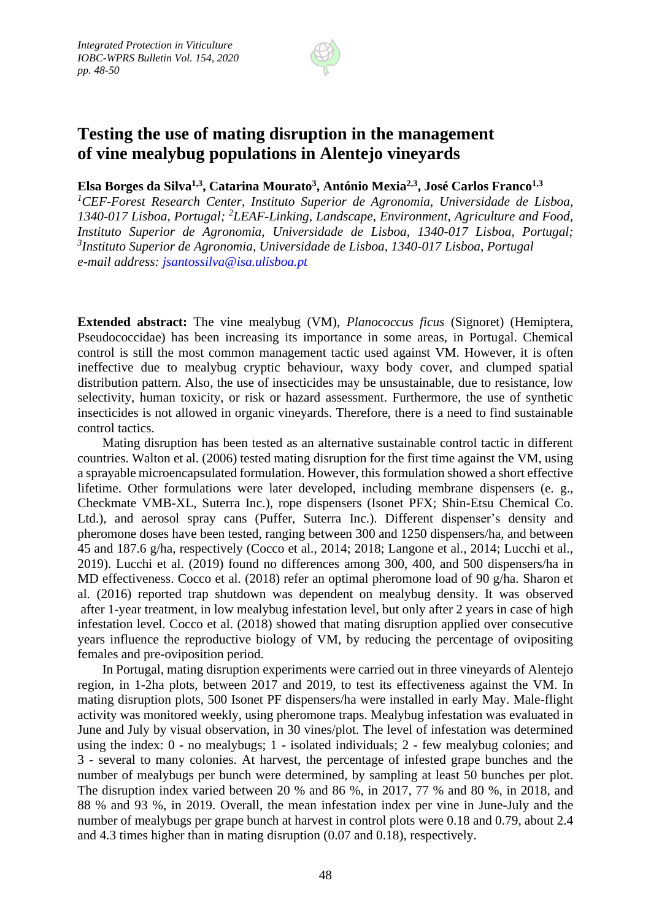

## **Testing the use of mating disruption in the management of vine mealybug populations in Alentejo vineyards**

**Elsa Borges da Silva1,3, Catarina Mourato<sup>3</sup> , António Mexia2,3, José Carlos Franco1,3**

*<sup>1</sup>CEF-Forest Research Center, Instituto Superior de Agronomia, Universidade de Lisboa, 1340-017 Lisboa, Portugal; <sup>2</sup>LEAF-Linking, Landscape, Environment, Agriculture and Food, Instituto Superior de Agronomia, Universidade de Lisboa, 1340-017 Lisboa, Portugal; 3 Instituto Superior de Agronomia, Universidade de Lisboa, 1340-017 Lisboa, Portugal e-mail address: jsantossilva@isa.ulisboa.pt*

**Extended abstract:** The vine mealybug (VM), *Planococcus ficus* (Signoret) (Hemiptera, Pseudococcidae) has been increasing its importance in some areas, in Portugal. Chemical control is still the most common management tactic used against VM. However, it is often ineffective due to mealybug cryptic behaviour, waxy body cover, and clumped spatial distribution pattern. Also, the use of insecticides may be unsustainable, due to resistance, low selectivity, human toxicity, or risk or hazard assessment. Furthermore, the use of synthetic insecticides is not allowed in organic vineyards. Therefore, there is a need to find sustainable control tactics.

Mating disruption has been tested as an alternative sustainable control tactic in different countries. Walton et al. (2006) tested mating disruption for the first time against the VM, using a sprayable microencapsulated formulation. However, this formulation showed a short effective lifetime. Other formulations were later developed, including membrane dispensers (e. g., Checkmate VMB-XL, Suterra Inc.), rope dispensers (Isonet PFX; Shin-Etsu Chemical Co. Ltd.), and aerosol spray cans (Puffer, Suterra Inc.). Different dispenser's density and pheromone doses have been tested, ranging between 300 and 1250 dispensers/ha, and between 45 and 187.6 g/ha, respectively (Cocco et al., 2014; 2018; Langone et al., 2014; Lucchi et al., 2019). Lucchi et al. (2019) found no differences among 300, 400, and 500 dispensers/ha in MD effectiveness. Cocco et al. (2018) refer an optimal pheromone load of 90 g/ha. Sharon et al. (2016) reported trap shutdown was dependent on mealybug density. It was observed after 1-year treatment, in low mealybug infestation level, but only after 2 years in case of high infestation level. Cocco et al. (2018) showed that mating disruption applied over consecutive years influence the reproductive biology of VM, by reducing the percentage of ovipositing females and pre-oviposition period.

In Portugal, mating disruption experiments were carried out in three vineyards of Alentejo region, in 1-2ha plots, between 2017 and 2019, to test its effectiveness against the VM. In mating disruption plots, 500 Isonet PF dispensers/ha were installed in early May. Male-flight activity was monitored weekly, using pheromone traps. Mealybug infestation was evaluated in June and July by visual observation, in 30 vines/plot. The level of infestation was determined using the index: 0 - no mealybugs; 1 - isolated individuals; 2 - few mealybug colonies; and 3 - several to many colonies. At harvest, the percentage of infested grape bunches and the number of mealybugs per bunch were determined, by sampling at least 50 bunches per plot. The disruption index varied between 20 % and 86 %, in 2017, 77 % and 80 %, in 2018, and 88 % and 93 %, in 2019. Overall, the mean infestation index per vine in June-July and the number of mealybugs per grape bunch at harvest in control plots were 0.18 and 0.79, about 2.4 and 4.3 times higher than in mating disruption (0.07 and 0.18), respectively.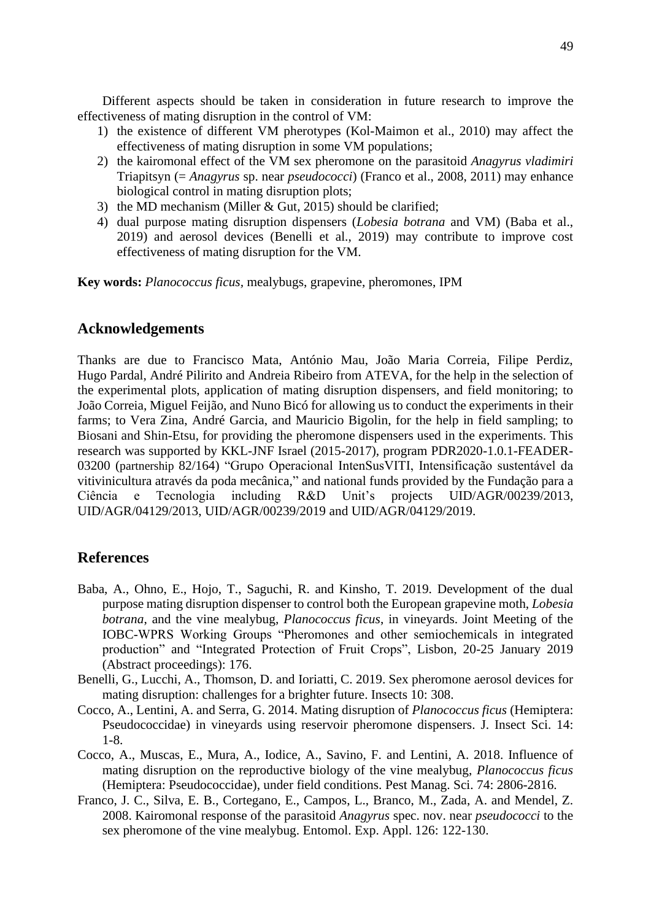Different aspects should be taken in consideration in future research to improve the effectiveness of mating disruption in the control of VM:

- 1) the existence of different VM pherotypes (Kol-Maimon et al., 2010) may affect the effectiveness of mating disruption in some VM populations;
- 2) the kairomonal effect of the VM sex pheromone on the parasitoid *Anagyrus vladimiri*  Triapitsyn (= *Anagyrus* sp. near *pseudococci*) (Franco et al., 2008, 2011) may enhance biological control in mating disruption plots;
- 3) the MD mechanism (Miller & Gut, 2015) should be clarified;
- 4) dual purpose mating disruption dispensers (*Lobesia botrana* and VM) (Baba et al., 2019) and aerosol devices (Benelli et al., 2019) may contribute to improve cost effectiveness of mating disruption for the VM.

**Key words:** *Planococcus ficus,* mealybugs, grapevine, pheromones, IPM

## **Acknowledgements**

Thanks are due to Francisco Mata, António Mau, João Maria Correia, Filipe Perdiz, Hugo Pardal, André Pilirito and Andreia Ribeiro from ATEVA, for the help in the selection of the experimental plots, application of mating disruption dispensers, and field monitoring; to João Correia, Miguel Feijão, and Nuno Bicó for allowing us to conduct the experiments in their farms; to Vera Zina, André Garcia, and Mauricio Bigolin, for the help in field sampling; to Biosani and Shin-Etsu, for providing the pheromone dispensers used in the experiments. This research was supported by KKL-JNF Israel (2015-2017), program PDR2020-1.0.1-FEADER-03200 (partnership 82/164) "Grupo Operacional IntenSusVITI, Intensificação sustentável da vitivinicultura através da poda mecânica," and national funds provided by the Fundação para a Ciência e Tecnologia including R&D Unit's projects UID/AGR/00239/2013, UID/AGR/04129/2013, UID/AGR/00239/2019 and UID/AGR/04129/2019.

## **References**

- Baba, A., Ohno, E., Hojo, T., Saguchi, R. and Kinsho, T. 2019. Development of the dual purpose mating disruption dispenser to control both the European grapevine moth, *Lobesia botrana*, and the vine mealybug, *Planococcus ficus*, in vineyards. Joint Meeting of the IOBC-WPRS Working Groups "Pheromones and other semiochemicals in integrated production" and "Integrated Protection of Fruit Crops", Lisbon, 20-25 January 2019 (Abstract proceedings): 176.
- Benelli, G., Lucchi, A., Thomson, D. and Ioriatti, C. 2019. Sex pheromone aerosol devices for mating disruption: challenges for a brighter future. Insects 10: 308.
- Cocco, A., Lentini, A. and Serra, G. 2014. Mating disruption of *Planococcus ficus* (Hemiptera: Pseudococcidae) in vineyards using reservoir pheromone dispensers. J. Insect Sci. 14: 1-8.
- Cocco, A., Muscas, E., Mura, A., Iodice, A., Savino, F. and Lentini, A. 2018. Influence of mating disruption on the reproductive biology of the vine mealybug, *Planococcus ficus* (Hemiptera: Pseudococcidae), under field conditions. Pest Manag. Sci. 74: 2806-2816.
- Franco, J. C., Silva, E. B., Cortegano, E., Campos, L., Branco, M., Zada, A. and Mendel, Z. 2008. Kairomonal response of the parasitoid *Anagyrus* spec. nov. near *pseudococci* to the sex pheromone of the vine mealybug. Entomol. Exp. Appl. 126: 122-130.